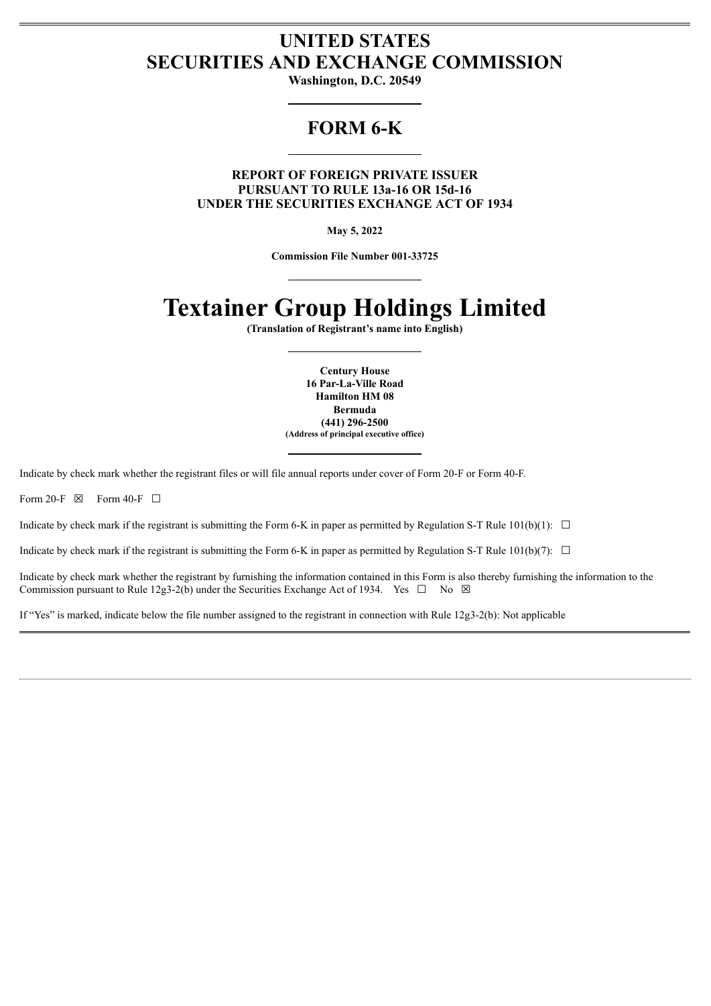# **UNITED STATES SECURITIES AND EXCHANGE COMMISSION**

**Washington, D.C. 20549**

# **FORM 6-K**

**REPORT OF FOREIGN PRIVATE ISSUER PURSUANT TO RULE 13a-16 OR 15d-16 UNDER THE SECURITIES EXCHANGE ACT OF 1934**

**May 5, 2022**

**Commission File Number 001-33725**

# **Textainer Group Holdings Limited**

**(Translation of Registrant's name into English)**

**Century House 16 Par-La-Ville Road Hamilton HM 08 Bermuda (441) 296-2500 (Address of principal executive office)**

Indicate by check mark whether the registrant files or will file annual reports under cover of Form 20-F or Form 40-F.

Form 20-F  $\boxtimes$  Form 40-F  $\Box$ 

Indicate by check mark if the registrant is submitting the Form 6-K in paper as permitted by Regulation S-T Rule  $101(b)(1)$ :  $\Box$ 

Indicate by check mark if the registrant is submitting the Form 6-K in paper as permitted by Regulation S-T Rule  $101(b)(7)$ :  $\Box$ 

Indicate by check mark whether the registrant by furnishing the information contained in this Form is also thereby furnishing the information to the Commission pursuant to Rule 12g3-2(b) under the Securities Exchange Act of 1934. Yes  $\Box$  No  $\boxtimes$ 

If "Yes" is marked, indicate below the file number assigned to the registrant in connection with Rule 12g3-2(b): Not applicable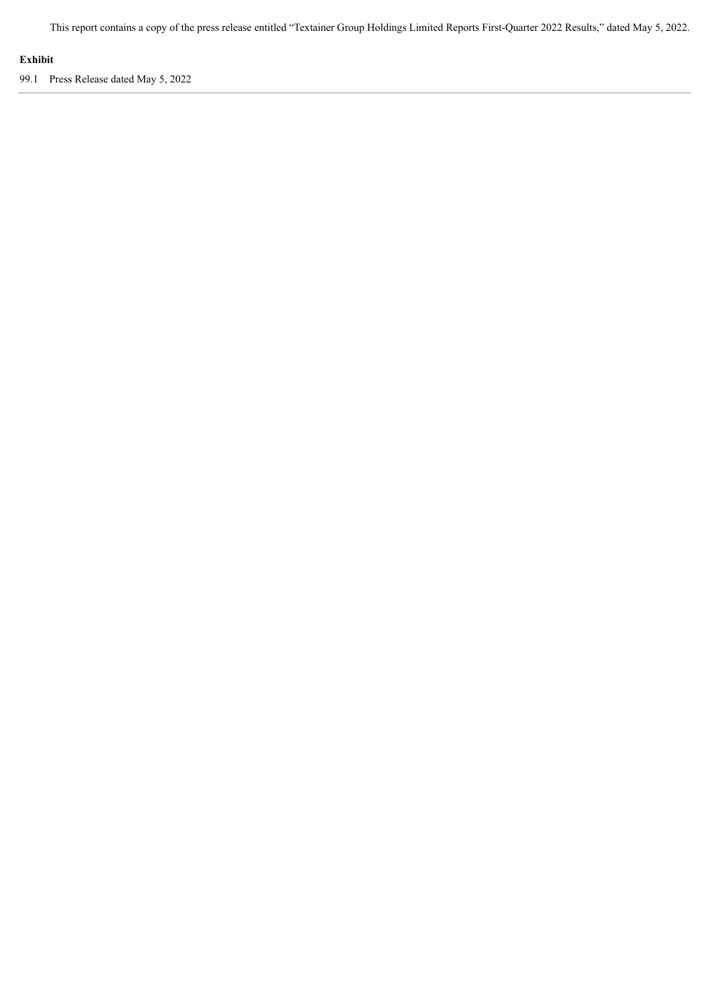This report contains a copy of the press release entitled "Textainer Group Holdings Limited Reports First-Quarter 2022 Results," dated May 5, 2022.

## **Exhibit**

99.1 Press Release dated May 5, 2022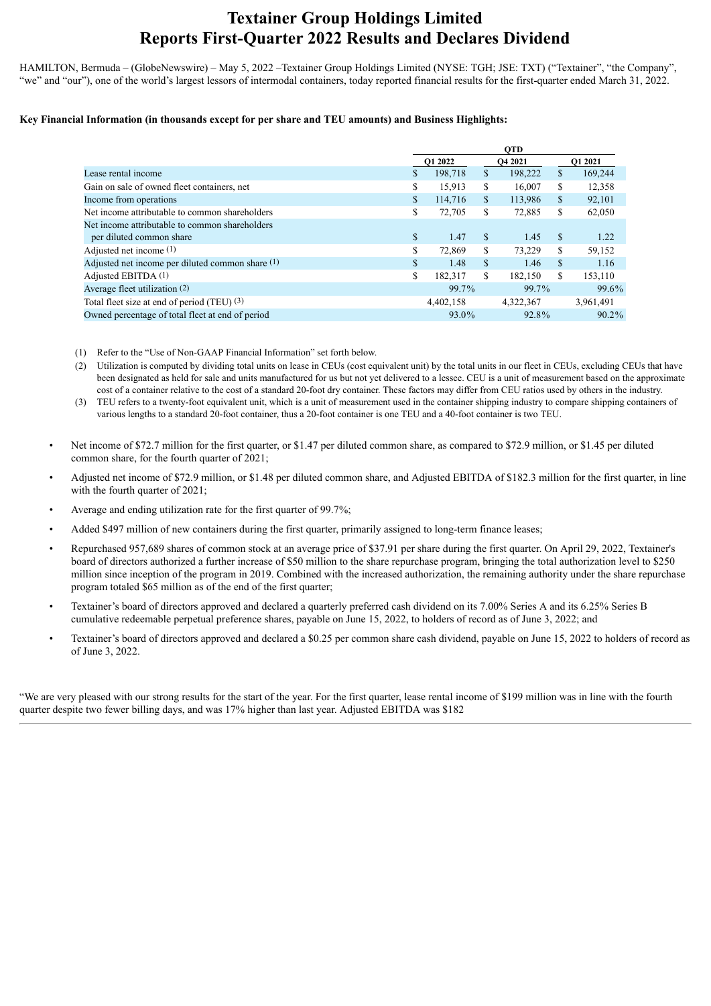# **Textainer Group Holdings Limited Reports First-Quarter 2022 Results and Declares Dividend**

HAMILTON, Bermuda – (GlobeNewswire) – May 5, 2022 –Textainer Group Holdings Limited (NYSE: TGH; JSE: TXT) ("Textainer", "the Company", "we" and "our"), one of the world's largest lessors of intermodal containers, today reported financial results for the first-quarter ended March 31, 2022.

#### **Key Financial Information (in thousands except for per share and TEU amounts) and Business Highlights:**

|                                                  |               | <b>OTD</b> |               |                |               |           |  |
|--------------------------------------------------|---------------|------------|---------------|----------------|---------------|-----------|--|
|                                                  |               | O1 2022    |               | <b>O4 2021</b> |               | O1 2021   |  |
| Lease rental income                              | <sup>\$</sup> | 198,718    | \$            | 198,222        | \$            | 169,244   |  |
| Gain on sale of owned fleet containers, net      | \$            | 15,913     | S             | 16,007         | \$            | 12,358    |  |
| Income from operations                           | \$            | 114,716    | $\mathbf S$   | 113,986        | \$            | 92,101    |  |
| Net income attributable to common shareholders   | \$            | 72,705     | S             | 72,885         | \$            | 62,050    |  |
| Net income attributable to common shareholders   |               |            |               |                |               |           |  |
| per diluted common share                         | $\mathbb{S}$  | 1.47       | <sup>\$</sup> | 1.45           | <sup>\$</sup> | 1.22      |  |
| Adjusted net income $(1)$                        | \$            | 72,869     | S             | 73,229         | \$            | 59,152    |  |
| Adjusted net income per diluted common share (1) | $\mathbb{S}$  | 1.48       | \$            | 1.46           | \$            | 1.16      |  |
| Adjusted EBITDA $(1)$                            | \$            | 182.317    | S             | 182.150        | S.            | 153,110   |  |
| Average fleet utilization (2)                    |               | 99.7%      |               | 99.7%          |               | 99.6%     |  |
| Total fleet size at end of period (TEU) (3)      |               | 4,402,158  |               | 4,322,367      |               | 3,961,491 |  |
| Owned percentage of total fleet at end of period |               | 93.0%      |               | 92.8%          |               | $90.2\%$  |  |

- (1) Refer to the "Use of Non-GAAP Financial Information" set forth below.
- (2) Utilization is computed by dividing total units on lease in CEUs (cost equivalent unit) by the total units in our fleet in CEUs, excluding CEUs that have been designated as held for sale and units manufactured for us but not yet delivered to a lessee. CEU is a unit of measurement based on the approximate cost of a container relative to the cost of a standard 20-foot dry container. These factors may differ from CEU ratios used by others in the industry.
- (3) TEU refers to a twenty-foot equivalent unit, which is a unit of measurement used in the container shipping industry to compare shipping containers of various lengths to a standard 20-foot container, thus a 20-foot container is one TEU and a 40-foot container is two TEU.
- Net income of \$72.7 million for the first quarter, or \$1.47 per diluted common share, as compared to \$72.9 million, or \$1.45 per diluted common share, for the fourth quarter of 2021;
- Adjusted net income of \$72.9 million, or \$1.48 per diluted common share, and Adjusted EBITDA of \$182.3 million for the first quarter, in line with the fourth quarter of 2021;
- Average and ending utilization rate for the first quarter of 99.7%;
- Added \$497 million of new containers during the first quarter, primarily assigned to long-term finance leases;
- Repurchased 957,689 shares of common stock at an average price of \$37.91 per share during the first quarter. On April 29, 2022, Textainer's board of directors authorized a further increase of \$50 million to the share repurchase program, bringing the total authorization level to \$250 million since inception of the program in 2019. Combined with the increased authorization, the remaining authority under the share repurchase program totaled \$65 million as of the end of the first quarter;
- Textainer's board of directors approved and declared a quarterly preferred cash dividend on its 7.00% Series A and its 6.25% Series B cumulative redeemable perpetual preference shares, payable on June 15, 2022, to holders of record as of June 3, 2022; and
- Textainer's board of directors approved and declared a \$0.25 per common share cash dividend, payable on June 15, 2022 to holders of record as of June 3, 2022.

"We are very pleased with our strong results for the start of the year. For the first quarter, lease rental income of \$199 million was in line with the fourth quarter despite two fewer billing days, and was 17% higher than last year. Adjusted EBITDA was \$182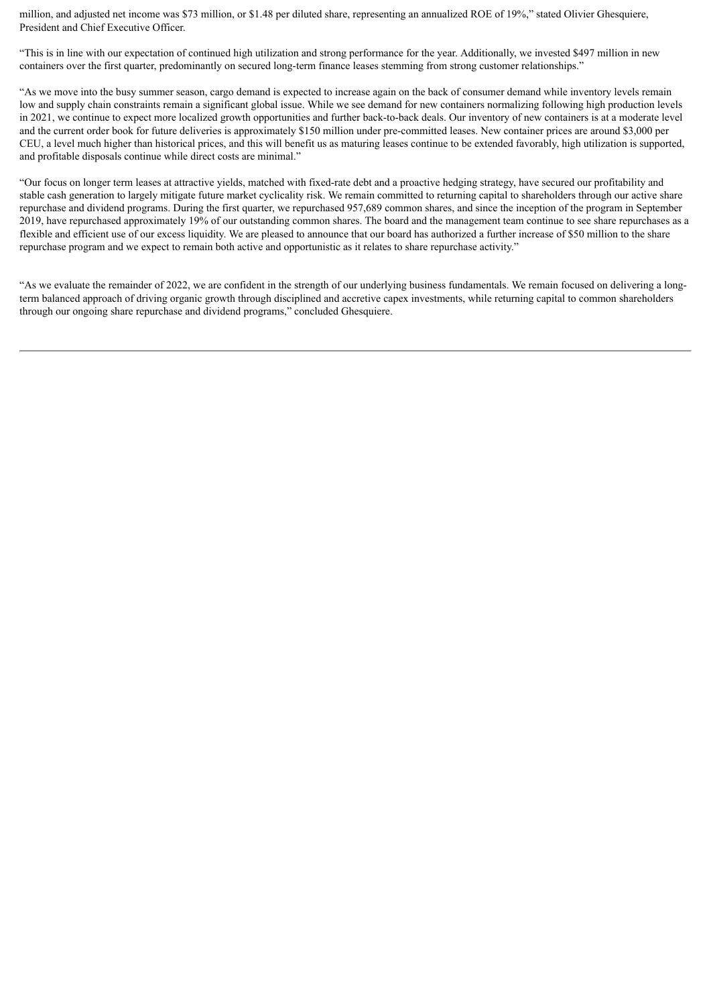million, and adjusted net income was \$73 million, or \$1.48 per diluted share, representing an annualized ROE of 19%," stated Olivier Ghesquiere, President and Chief Executive Officer.

"This is in line with our expectation of continued high utilization and strong performance for the year. Additionally, we invested \$497 million in new containers over the first quarter, predominantly on secured long-term finance leases stemming from strong customer relationships."

"As we move into the busy summer season, cargo demand is expected to increase again on the back of consumer demand while inventory levels remain low and supply chain constraints remain a significant global issue. While we see demand for new containers normalizing following high production levels in 2021, we continue to expect more localized growth opportunities and further back-to-back deals. Our inventory of new containers is at a moderate level and the current order book for future deliveries is approximately \$150 million under pre-committed leases. New container prices are around \$3,000 per CEU, a level much higher than historical prices, and this will benefit us as maturing leases continue to be extended favorably, high utilization is supported, and profitable disposals continue while direct costs are minimal."

"Our focus on longer term leases at attractive yields, matched with fixed-rate debt and a proactive hedging strategy, have secured our profitability and stable cash generation to largely mitigate future market cyclicality risk. We remain committed to returning capital to shareholders through our active share repurchase and dividend programs. During the first quarter, we repurchased 957,689 common shares, and since the inception of the program in September 2019, have repurchased approximately 19% of our outstanding common shares. The board and the management team continue to see share repurchases as a flexible and efficient use of our excess liquidity. We are pleased to announce that our board has authorized a further increase of \$50 million to the share repurchase program and we expect to remain both active and opportunistic as it relates to share repurchase activity."

"As we evaluate the remainder of 2022, we are confident in the strength of our underlying business fundamentals. We remain focused on delivering a longterm balanced approach of driving organic growth through disciplined and accretive capex investments, while returning capital to common shareholders through our ongoing share repurchase and dividend programs," concluded Ghesquiere.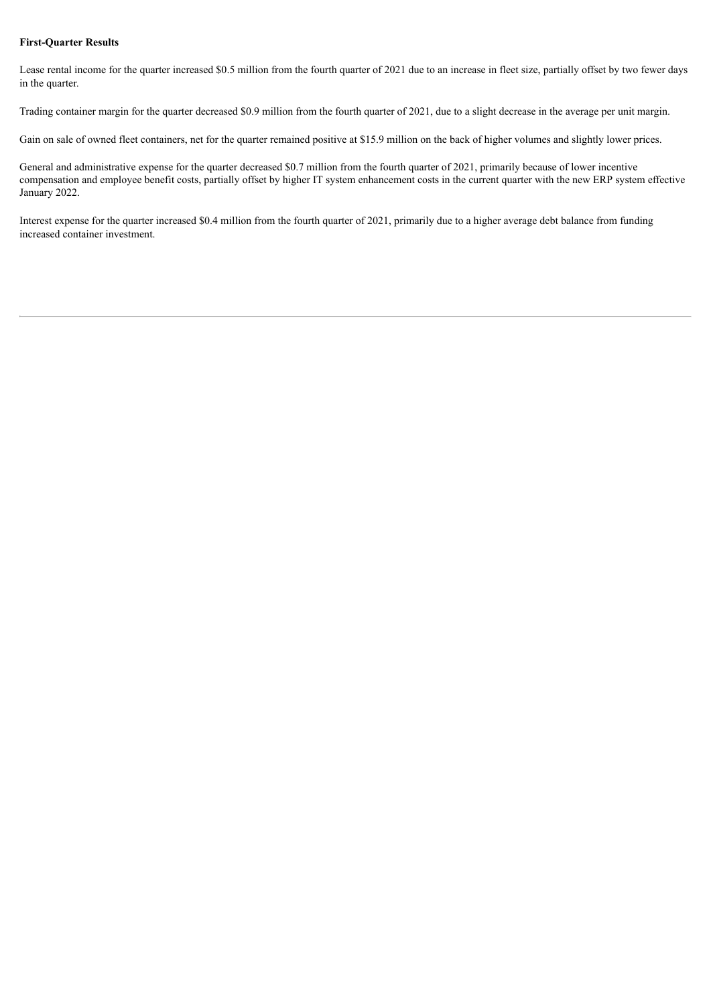#### **First-Quarter Results**

Lease rental income for the quarter increased \$0.5 million from the fourth quarter of 2021 due to an increase in fleet size, partially offset by two fewer days in the quarter.

Trading container margin for the quarter decreased \$0.9 million from the fourth quarter of 2021, due to a slight decrease in the average per unit margin.

Gain on sale of owned fleet containers, net for the quarter remained positive at \$15.9 million on the back of higher volumes and slightly lower prices.

General and administrative expense for the quarter decreased \$0.7 million from the fourth quarter of 2021, primarily because of lower incentive compensation and employee benefit costs, partially offset by higher IT system enhancement costs in the current quarter with the new ERP system effective January 2022.

Interest expense for the quarter increased \$0.4 million from the fourth quarter of 2021, primarily due to a higher average debt balance from funding increased container investment.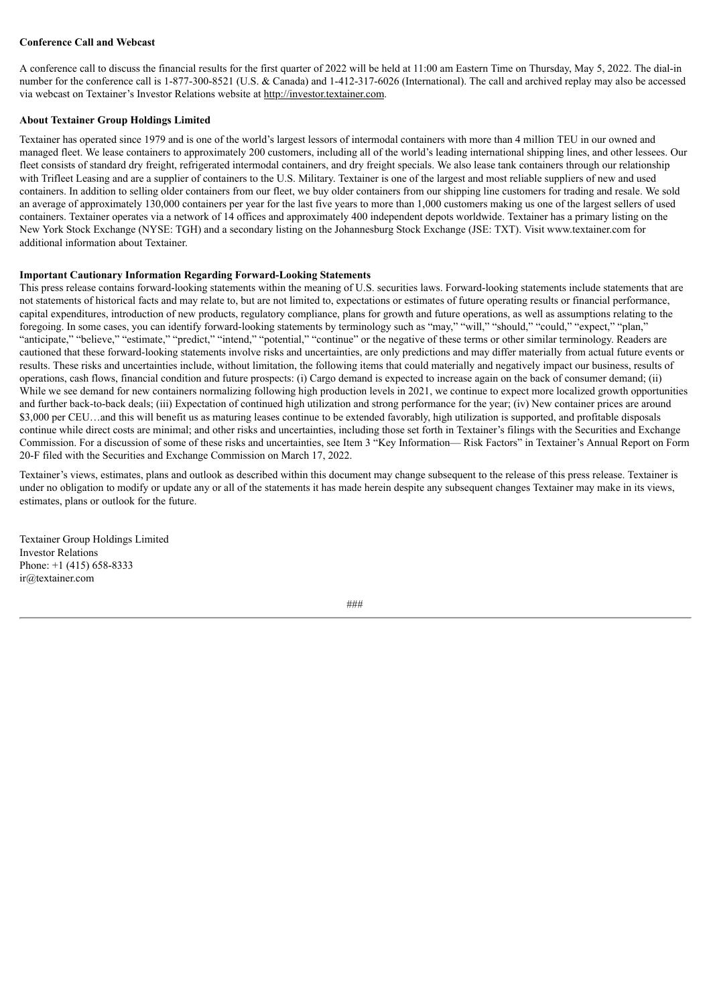#### **Conference Call and Webcast**

A conference call to discuss the financial results for the first quarter of 2022 will be held at 11:00 am Eastern Time on Thursday, May 5, 2022. The dial-in number for the conference call is 1-877-300-8521 (U.S. & Canada) and 1-412-317-6026 (International). The call and archived replay may also be accessed via webcast on Textainer's Investor Relations website at http://investor.textainer.com.

#### **About Textainer Group Holdings Limited**

Textainer has operated since 1979 and is one of the world's largest lessors of intermodal containers with more than 4 million TEU in our owned and managed fleet. We lease containers to approximately 200 customers, including all of the world's leading international shipping lines, and other lessees. Our fleet consists of standard dry freight, refrigerated intermodal containers, and dry freight specials. We also lease tank containers through our relationship with Trifleet Leasing and are a supplier of containers to the U.S. Military. Textainer is one of the largest and most reliable suppliers of new and used containers. In addition to selling older containers from our fleet, we buy older containers from our shipping line customers for trading and resale. We sold an average of approximately 130,000 containers per year for the last five years to more than 1,000 customers making us one of the largest sellers of used containers. Textainer operates via a network of 14 offices and approximately 400 independent depots worldwide. Textainer has a primary listing on the New York Stock Exchange (NYSE: TGH) and a secondary listing on the Johannesburg Stock Exchange (JSE: TXT). Visit www.textainer.com for additional information about Textainer.

#### **Important Cautionary Information Regarding Forward-Looking Statements**

This press release contains forward-looking statements within the meaning of U.S. securities laws. Forward-looking statements include statements that are not statements of historical facts and may relate to, but are not limited to, expectations or estimates of future operating results or financial performance, capital expenditures, introduction of new products, regulatory compliance, plans for growth and future operations, as well as assumptions relating to the foregoing. In some cases, you can identify forward-looking statements by terminology such as "may," "will," "should," "could," "expect," "plan," "anticipate," "believe," "estimate," "predict," "intend," "potential," "continue" or the negative of these terms or other similar terminology. Readers are cautioned that these forward-looking statements involve risks and uncertainties, are only predictions and may differ materially from actual future events or results. These risks and uncertainties include, without limitation, the following items that could materially and negatively impact our business, results of operations, cash flows, financial condition and future prospects: (i) Cargo demand is expected to increase again on the back of consumer demand; (ii) While we see demand for new containers normalizing following high production levels in 2021, we continue to expect more localized growth opportunities and further back-to-back deals; (iii) Expectation of continued high utilization and strong performance for the year; (iv) New container prices are around \$3,000 per CEU...and this will benefit us as maturing leases continue to be extended favorably, high utilization is supported, and profitable disposals continue while direct costs are minimal; and other risks and uncertainties, including those set forth in Textainer's filings with the Securities and Exchange Commission. For a discussion of some of these risks and uncertainties, see Item 3 "Key Information— Risk Factors" in Textainer's Annual Report on Form 20-F filed with the Securities and Exchange Commission on March 17, 2022.

Textainer's views, estimates, plans and outlook as described within this document may change subsequent to the release of this press release. Textainer is under no obligation to modify or update any or all of the statements it has made herein despite any subsequent changes Textainer may make in its views, estimates, plans or outlook for the future.

Textainer Group Holdings Limited Investor Relations Phone: +1 (415) 658-8333 ir@textainer.com

###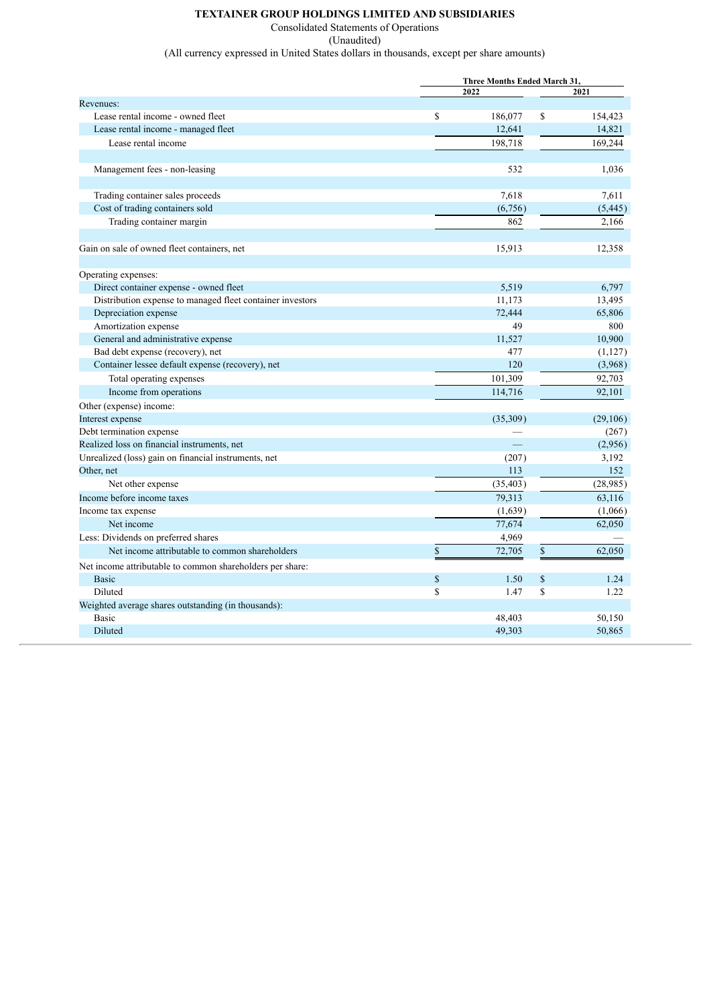#### **TEXTAINER GROUP HOLDINGS LIMITED AND SUBSIDIARIES**

Consolidated Statements of Operations

(Unaudited) (All currency expressed in United States dollars in thousands, except per share amounts)

| 2022<br>2021<br>Revenues:<br>Lease rental income - owned fleet<br><sup>\$</sup><br>186,077<br>\$<br>154,423<br>Lease rental income - managed fleet<br>12,641<br>14,821<br>Lease rental income<br>198,718<br>169,244<br>532<br>1,036<br>Management fees - non-leasing<br>Trading container sales proceeds<br>7,618<br>7,611<br>Cost of trading containers sold<br>(6,756)<br>(5, 445)<br>Trading container margin<br>862<br>2,166<br>Gain on sale of owned fleet containers, net<br>15,913<br>12,358<br>Operating expenses:<br>5,519<br>Direct container expense - owned fleet<br>6,797<br>Distribution expense to managed fleet container investors<br>11,173<br>13,495<br>Depreciation expense<br>72,444<br>65,806<br>Amortization expense<br>49<br>800<br>General and administrative expense<br>10,900<br>11,527<br>477<br>Bad debt expense (recovery), net<br>(1,127)<br>120<br>Container lessee default expense (recovery), net<br>(3,968)<br>Total operating expenses<br>101,309<br>92,703<br>Income from operations<br>114,716<br>92,101<br>Other (expense) income:<br>Interest expense<br>(35,309)<br>(29,106)<br>Debt termination expense<br>(267)<br>$\equiv$<br>Realized loss on financial instruments, net<br>(2,956)<br>3,192<br>Unrealized (loss) gain on financial instruments, net<br>(207)<br>Other, net<br>113<br>152<br>Net other expense<br>(35, 403)<br>(28,985)<br>Income before income taxes<br>79,313<br>63,116<br>Income tax expense<br>(1,639)<br>(1,066)<br>77,674<br>62,050<br>Net income<br>Less: Dividends on preferred shares<br>4,969<br>$\mathbb S$<br>Net income attributable to common shareholders<br>$\mathbb{S}$<br>72,705<br>62.050<br>Net income attributable to common shareholders per share:<br>$\mathbb{S}$<br>1.50<br>\$<br>1.24<br><b>Basic</b><br>Diluted<br><sup>\$</sup><br>S<br>1.22<br>1.47<br>Weighted average shares outstanding (in thousands):<br><b>Basic</b><br>48,403<br>50,150<br>Diluted<br>49,303<br>50,865 |  | Three Months Ended March 31, |  |  |  |  |
|-------------------------------------------------------------------------------------------------------------------------------------------------------------------------------------------------------------------------------------------------------------------------------------------------------------------------------------------------------------------------------------------------------------------------------------------------------------------------------------------------------------------------------------------------------------------------------------------------------------------------------------------------------------------------------------------------------------------------------------------------------------------------------------------------------------------------------------------------------------------------------------------------------------------------------------------------------------------------------------------------------------------------------------------------------------------------------------------------------------------------------------------------------------------------------------------------------------------------------------------------------------------------------------------------------------------------------------------------------------------------------------------------------------------------------------------------------------------------------------------------------------------------------------------------------------------------------------------------------------------------------------------------------------------------------------------------------------------------------------------------------------------------------------------------------------------------------------------------------------------------------------------------------------------------------------------------------------------------|--|------------------------------|--|--|--|--|
|                                                                                                                                                                                                                                                                                                                                                                                                                                                                                                                                                                                                                                                                                                                                                                                                                                                                                                                                                                                                                                                                                                                                                                                                                                                                                                                                                                                                                                                                                                                                                                                                                                                                                                                                                                                                                                                                                                                                                                         |  |                              |  |  |  |  |
|                                                                                                                                                                                                                                                                                                                                                                                                                                                                                                                                                                                                                                                                                                                                                                                                                                                                                                                                                                                                                                                                                                                                                                                                                                                                                                                                                                                                                                                                                                                                                                                                                                                                                                                                                                                                                                                                                                                                                                         |  |                              |  |  |  |  |
|                                                                                                                                                                                                                                                                                                                                                                                                                                                                                                                                                                                                                                                                                                                                                                                                                                                                                                                                                                                                                                                                                                                                                                                                                                                                                                                                                                                                                                                                                                                                                                                                                                                                                                                                                                                                                                                                                                                                                                         |  |                              |  |  |  |  |
|                                                                                                                                                                                                                                                                                                                                                                                                                                                                                                                                                                                                                                                                                                                                                                                                                                                                                                                                                                                                                                                                                                                                                                                                                                                                                                                                                                                                                                                                                                                                                                                                                                                                                                                                                                                                                                                                                                                                                                         |  |                              |  |  |  |  |
|                                                                                                                                                                                                                                                                                                                                                                                                                                                                                                                                                                                                                                                                                                                                                                                                                                                                                                                                                                                                                                                                                                                                                                                                                                                                                                                                                                                                                                                                                                                                                                                                                                                                                                                                                                                                                                                                                                                                                                         |  |                              |  |  |  |  |
|                                                                                                                                                                                                                                                                                                                                                                                                                                                                                                                                                                                                                                                                                                                                                                                                                                                                                                                                                                                                                                                                                                                                                                                                                                                                                                                                                                                                                                                                                                                                                                                                                                                                                                                                                                                                                                                                                                                                                                         |  |                              |  |  |  |  |
|                                                                                                                                                                                                                                                                                                                                                                                                                                                                                                                                                                                                                                                                                                                                                                                                                                                                                                                                                                                                                                                                                                                                                                                                                                                                                                                                                                                                                                                                                                                                                                                                                                                                                                                                                                                                                                                                                                                                                                         |  |                              |  |  |  |  |
|                                                                                                                                                                                                                                                                                                                                                                                                                                                                                                                                                                                                                                                                                                                                                                                                                                                                                                                                                                                                                                                                                                                                                                                                                                                                                                                                                                                                                                                                                                                                                                                                                                                                                                                                                                                                                                                                                                                                                                         |  |                              |  |  |  |  |
|                                                                                                                                                                                                                                                                                                                                                                                                                                                                                                                                                                                                                                                                                                                                                                                                                                                                                                                                                                                                                                                                                                                                                                                                                                                                                                                                                                                                                                                                                                                                                                                                                                                                                                                                                                                                                                                                                                                                                                         |  |                              |  |  |  |  |
|                                                                                                                                                                                                                                                                                                                                                                                                                                                                                                                                                                                                                                                                                                                                                                                                                                                                                                                                                                                                                                                                                                                                                                                                                                                                                                                                                                                                                                                                                                                                                                                                                                                                                                                                                                                                                                                                                                                                                                         |  |                              |  |  |  |  |
|                                                                                                                                                                                                                                                                                                                                                                                                                                                                                                                                                                                                                                                                                                                                                                                                                                                                                                                                                                                                                                                                                                                                                                                                                                                                                                                                                                                                                                                                                                                                                                                                                                                                                                                                                                                                                                                                                                                                                                         |  |                              |  |  |  |  |
|                                                                                                                                                                                                                                                                                                                                                                                                                                                                                                                                                                                                                                                                                                                                                                                                                                                                                                                                                                                                                                                                                                                                                                                                                                                                                                                                                                                                                                                                                                                                                                                                                                                                                                                                                                                                                                                                                                                                                                         |  |                              |  |  |  |  |
|                                                                                                                                                                                                                                                                                                                                                                                                                                                                                                                                                                                                                                                                                                                                                                                                                                                                                                                                                                                                                                                                                                                                                                                                                                                                                                                                                                                                                                                                                                                                                                                                                                                                                                                                                                                                                                                                                                                                                                         |  |                              |  |  |  |  |
|                                                                                                                                                                                                                                                                                                                                                                                                                                                                                                                                                                                                                                                                                                                                                                                                                                                                                                                                                                                                                                                                                                                                                                                                                                                                                                                                                                                                                                                                                                                                                                                                                                                                                                                                                                                                                                                                                                                                                                         |  |                              |  |  |  |  |
|                                                                                                                                                                                                                                                                                                                                                                                                                                                                                                                                                                                                                                                                                                                                                                                                                                                                                                                                                                                                                                                                                                                                                                                                                                                                                                                                                                                                                                                                                                                                                                                                                                                                                                                                                                                                                                                                                                                                                                         |  |                              |  |  |  |  |
|                                                                                                                                                                                                                                                                                                                                                                                                                                                                                                                                                                                                                                                                                                                                                                                                                                                                                                                                                                                                                                                                                                                                                                                                                                                                                                                                                                                                                                                                                                                                                                                                                                                                                                                                                                                                                                                                                                                                                                         |  |                              |  |  |  |  |
|                                                                                                                                                                                                                                                                                                                                                                                                                                                                                                                                                                                                                                                                                                                                                                                                                                                                                                                                                                                                                                                                                                                                                                                                                                                                                                                                                                                                                                                                                                                                                                                                                                                                                                                                                                                                                                                                                                                                                                         |  |                              |  |  |  |  |
|                                                                                                                                                                                                                                                                                                                                                                                                                                                                                                                                                                                                                                                                                                                                                                                                                                                                                                                                                                                                                                                                                                                                                                                                                                                                                                                                                                                                                                                                                                                                                                                                                                                                                                                                                                                                                                                                                                                                                                         |  |                              |  |  |  |  |
|                                                                                                                                                                                                                                                                                                                                                                                                                                                                                                                                                                                                                                                                                                                                                                                                                                                                                                                                                                                                                                                                                                                                                                                                                                                                                                                                                                                                                                                                                                                                                                                                                                                                                                                                                                                                                                                                                                                                                                         |  |                              |  |  |  |  |
|                                                                                                                                                                                                                                                                                                                                                                                                                                                                                                                                                                                                                                                                                                                                                                                                                                                                                                                                                                                                                                                                                                                                                                                                                                                                                                                                                                                                                                                                                                                                                                                                                                                                                                                                                                                                                                                                                                                                                                         |  |                              |  |  |  |  |
|                                                                                                                                                                                                                                                                                                                                                                                                                                                                                                                                                                                                                                                                                                                                                                                                                                                                                                                                                                                                                                                                                                                                                                                                                                                                                                                                                                                                                                                                                                                                                                                                                                                                                                                                                                                                                                                                                                                                                                         |  |                              |  |  |  |  |
|                                                                                                                                                                                                                                                                                                                                                                                                                                                                                                                                                                                                                                                                                                                                                                                                                                                                                                                                                                                                                                                                                                                                                                                                                                                                                                                                                                                                                                                                                                                                                                                                                                                                                                                                                                                                                                                                                                                                                                         |  |                              |  |  |  |  |
|                                                                                                                                                                                                                                                                                                                                                                                                                                                                                                                                                                                                                                                                                                                                                                                                                                                                                                                                                                                                                                                                                                                                                                                                                                                                                                                                                                                                                                                                                                                                                                                                                                                                                                                                                                                                                                                                                                                                                                         |  |                              |  |  |  |  |
|                                                                                                                                                                                                                                                                                                                                                                                                                                                                                                                                                                                                                                                                                                                                                                                                                                                                                                                                                                                                                                                                                                                                                                                                                                                                                                                                                                                                                                                                                                                                                                                                                                                                                                                                                                                                                                                                                                                                                                         |  |                              |  |  |  |  |
|                                                                                                                                                                                                                                                                                                                                                                                                                                                                                                                                                                                                                                                                                                                                                                                                                                                                                                                                                                                                                                                                                                                                                                                                                                                                                                                                                                                                                                                                                                                                                                                                                                                                                                                                                                                                                                                                                                                                                                         |  |                              |  |  |  |  |
|                                                                                                                                                                                                                                                                                                                                                                                                                                                                                                                                                                                                                                                                                                                                                                                                                                                                                                                                                                                                                                                                                                                                                                                                                                                                                                                                                                                                                                                                                                                                                                                                                                                                                                                                                                                                                                                                                                                                                                         |  |                              |  |  |  |  |
|                                                                                                                                                                                                                                                                                                                                                                                                                                                                                                                                                                                                                                                                                                                                                                                                                                                                                                                                                                                                                                                                                                                                                                                                                                                                                                                                                                                                                                                                                                                                                                                                                                                                                                                                                                                                                                                                                                                                                                         |  |                              |  |  |  |  |
|                                                                                                                                                                                                                                                                                                                                                                                                                                                                                                                                                                                                                                                                                                                                                                                                                                                                                                                                                                                                                                                                                                                                                                                                                                                                                                                                                                                                                                                                                                                                                                                                                                                                                                                                                                                                                                                                                                                                                                         |  |                              |  |  |  |  |
|                                                                                                                                                                                                                                                                                                                                                                                                                                                                                                                                                                                                                                                                                                                                                                                                                                                                                                                                                                                                                                                                                                                                                                                                                                                                                                                                                                                                                                                                                                                                                                                                                                                                                                                                                                                                                                                                                                                                                                         |  |                              |  |  |  |  |
|                                                                                                                                                                                                                                                                                                                                                                                                                                                                                                                                                                                                                                                                                                                                                                                                                                                                                                                                                                                                                                                                                                                                                                                                                                                                                                                                                                                                                                                                                                                                                                                                                                                                                                                                                                                                                                                                                                                                                                         |  |                              |  |  |  |  |
|                                                                                                                                                                                                                                                                                                                                                                                                                                                                                                                                                                                                                                                                                                                                                                                                                                                                                                                                                                                                                                                                                                                                                                                                                                                                                                                                                                                                                                                                                                                                                                                                                                                                                                                                                                                                                                                                                                                                                                         |  |                              |  |  |  |  |
|                                                                                                                                                                                                                                                                                                                                                                                                                                                                                                                                                                                                                                                                                                                                                                                                                                                                                                                                                                                                                                                                                                                                                                                                                                                                                                                                                                                                                                                                                                                                                                                                                                                                                                                                                                                                                                                                                                                                                                         |  |                              |  |  |  |  |
|                                                                                                                                                                                                                                                                                                                                                                                                                                                                                                                                                                                                                                                                                                                                                                                                                                                                                                                                                                                                                                                                                                                                                                                                                                                                                                                                                                                                                                                                                                                                                                                                                                                                                                                                                                                                                                                                                                                                                                         |  |                              |  |  |  |  |
|                                                                                                                                                                                                                                                                                                                                                                                                                                                                                                                                                                                                                                                                                                                                                                                                                                                                                                                                                                                                                                                                                                                                                                                                                                                                                                                                                                                                                                                                                                                                                                                                                                                                                                                                                                                                                                                                                                                                                                         |  |                              |  |  |  |  |
|                                                                                                                                                                                                                                                                                                                                                                                                                                                                                                                                                                                                                                                                                                                                                                                                                                                                                                                                                                                                                                                                                                                                                                                                                                                                                                                                                                                                                                                                                                                                                                                                                                                                                                                                                                                                                                                                                                                                                                         |  |                              |  |  |  |  |
|                                                                                                                                                                                                                                                                                                                                                                                                                                                                                                                                                                                                                                                                                                                                                                                                                                                                                                                                                                                                                                                                                                                                                                                                                                                                                                                                                                                                                                                                                                                                                                                                                                                                                                                                                                                                                                                                                                                                                                         |  |                              |  |  |  |  |
|                                                                                                                                                                                                                                                                                                                                                                                                                                                                                                                                                                                                                                                                                                                                                                                                                                                                                                                                                                                                                                                                                                                                                                                                                                                                                                                                                                                                                                                                                                                                                                                                                                                                                                                                                                                                                                                                                                                                                                         |  |                              |  |  |  |  |
|                                                                                                                                                                                                                                                                                                                                                                                                                                                                                                                                                                                                                                                                                                                                                                                                                                                                                                                                                                                                                                                                                                                                                                                                                                                                                                                                                                                                                                                                                                                                                                                                                                                                                                                                                                                                                                                                                                                                                                         |  |                              |  |  |  |  |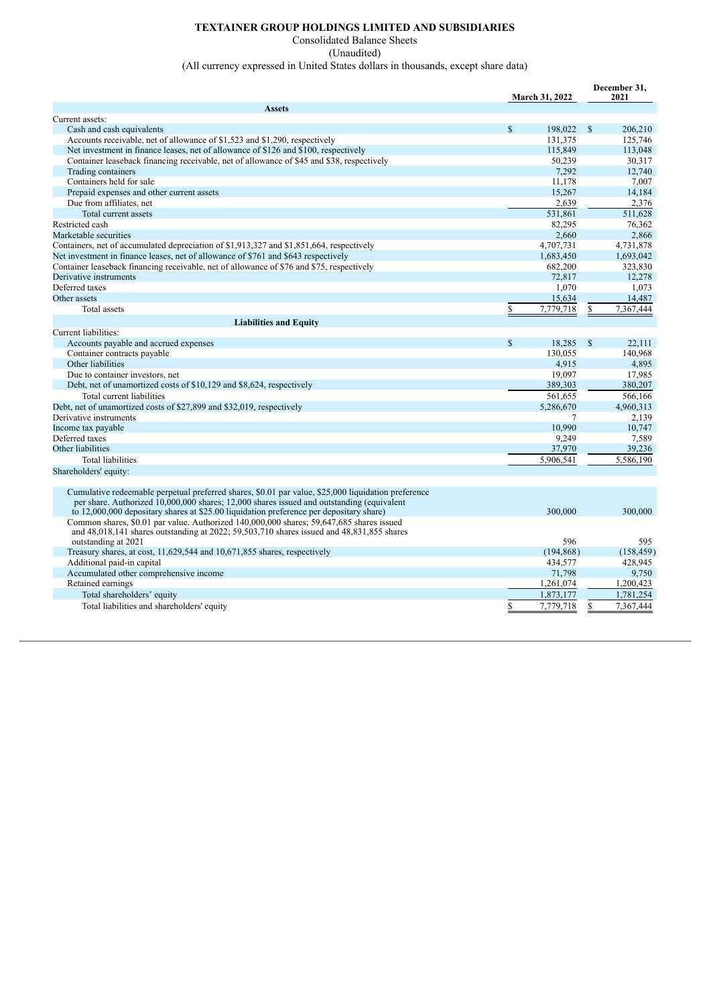#### **TEXTAINER GROUP HOLDINGS LIMITED AND SUBSIDIARIES**

Consolidated Balance Sheets

(Unaudited)

(All currency expressed in United States dollars in thousands, except share data)

|                                                                                                     |             |                       |               | December 31, |
|-----------------------------------------------------------------------------------------------------|-------------|-----------------------|---------------|--------------|
|                                                                                                     |             | <b>March 31, 2022</b> |               | 2021         |
| <b>Assets</b>                                                                                       |             |                       |               |              |
| Current assets:                                                                                     |             |                       |               |              |
| Cash and cash equivalents                                                                           | \$          | 198,022               | S             | 206,210      |
| Accounts receivable, net of allowance of \$1,523 and \$1,290, respectively                          |             | 131,375               |               | 125,746      |
| Net investment in finance leases, net of allowance of \$126 and \$100, respectively                 |             | 115,849               |               | 113,048      |
| Container leaseback financing receivable, net of allowance of \$45 and \$38, respectively           |             | 50,239                |               | 30,317       |
| Trading containers                                                                                  |             | 7,292                 |               | 12.740       |
| Containers held for sale                                                                            |             | 11.178                |               | 7.007        |
| Prepaid expenses and other current assets                                                           |             | 15,267                |               | 14,184       |
| Due from affiliates, net                                                                            |             | 2,639                 |               | 2,376        |
| Total current assets                                                                                |             | 531.861               |               | 511.628      |
| Restricted cash                                                                                     |             | 82,295                |               | 76,362       |
| Marketable securities                                                                               |             | 2.660                 |               | 2.866        |
| Containers, net of accumulated depreciation of \$1,913,327 and \$1,851,664, respectively            |             | 4,707,731             |               | 4,731,878    |
| Net investment in finance leases, net of allowance of \$761 and \$643 respectively                  |             | 1.683.450             |               | 1,693,042    |
| Container leaseback financing receivable, net of allowance of \$76 and \$75, respectively           |             | 682,200               |               | 323,830      |
| Derivative instruments                                                                              |             | 72,817                |               | 12,278       |
| Deferred taxes                                                                                      |             | 1,070                 |               | 1,073        |
| Other assets                                                                                        |             | 15,634                |               | 14,487       |
| Total assets                                                                                        | \$          | 7,779,718             | \$            | 7,367,444    |
| <b>Liabilities and Equity</b>                                                                       |             |                       |               |              |
| Current liabilities:                                                                                |             |                       |               |              |
| Accounts payable and accrued expenses                                                               | $\mathbf S$ | 18,285                | <sup>\$</sup> | 22,111       |
| Container contracts payable                                                                         |             | 130.055               |               | 140,968      |
| Other liabilities                                                                                   |             | 4.915                 |               | 4,895        |
| Due to container investors, net                                                                     |             | 19.097                |               | 17,985       |
| Debt, net of unamortized costs of \$10,129 and \$8,624, respectively                                |             | 389,303               |               | 380.207      |
| Total current liabilities                                                                           |             | 561.655               |               | 566.166      |
| Debt, net of unamortized costs of \$27,899 and \$32,019, respectively                               |             | 5,286,670             |               | 4.960.313    |
| Derivative instruments                                                                              |             | 7                     |               | 2.139        |
| Income tax payable                                                                                  |             | 10.990                |               | 10.747       |
| Deferred taxes                                                                                      |             | 9,249                 |               | 7,589        |
| Other liabilities                                                                                   |             | 37,970                |               | 39,236       |
| <b>Total liabilities</b>                                                                            |             | 5,906,541             |               | 5,586,190    |
| Shareholders' equity:                                                                               |             |                       |               |              |
|                                                                                                     |             |                       |               |              |
| Cumulative redeemable perpetual preferred shares, \$0.01 par value, \$25,000 liquidation preference |             |                       |               |              |
| per share. Authorized 10,000,000 shares; 12,000 shares issued and outstanding (equivalent           |             |                       |               |              |
| to 12,000,000 depositary shares at \$25.00 liquidation preference per depositary share)             |             | 300,000               |               | 300,000      |
| Common shares, \$0.01 par value. Authorized 140,000,000 shares; 59,647,685 shares issued            |             |                       |               |              |
| and 48,018,141 shares outstanding at 2022; 59,503,710 shares issued and 48,831,855 shares           |             |                       |               |              |
| outstanding at 2021                                                                                 |             | 596                   |               | 595          |
| Treasury shares, at cost, 11,629,544 and 10,671,855 shares, respectively                            |             | (194, 868)            |               | (158, 459)   |
| Additional paid-in capital                                                                          |             | 434.577               |               | 428.945      |
| Accumulated other comprehensive income                                                              |             | 71,798                |               | 9,750        |
| Retained earnings                                                                                   |             | 1,261,074             |               | 1,200,423    |
| Total shareholders' equity                                                                          |             | 1,873,177             |               | 1.781.254    |
| Total liabilities and shareholders' equity                                                          | S           | 7,779,718             | S             | 7,367,444    |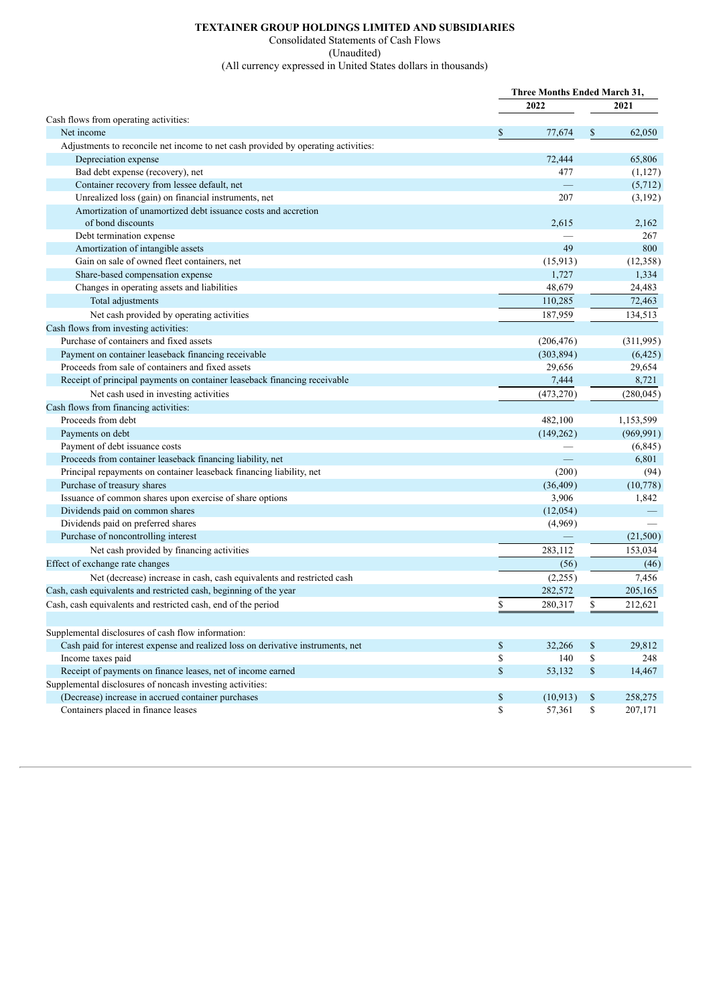## **TEXTAINER GROUP HOLDINGS LIMITED AND SUBSIDIARIES**

Consolidated Statements of Cash Flows

(Unaudited)

(All currency expressed in United States dollars in thousands)

|                                                                                   | <b>Three Months Ended March 31,</b> |      |            |  |
|-----------------------------------------------------------------------------------|-------------------------------------|------|------------|--|
|                                                                                   | 2022                                | 2021 |            |  |
| Cash flows from operating activities:                                             |                                     |      |            |  |
| Net income                                                                        | \$<br>77,674                        | \$   | 62,050     |  |
| Adjustments to reconcile net income to net cash provided by operating activities: |                                     |      |            |  |
| Depreciation expense                                                              | 72,444                              |      | 65,806     |  |
| Bad debt expense (recovery), net                                                  | 477                                 |      | (1,127)    |  |
| Container recovery from lessee default, net                                       |                                     |      | (5,712)    |  |
| Unrealized loss (gain) on financial instruments, net                              | 207                                 |      | (3,192)    |  |
| Amortization of unamortized debt issuance costs and accretion                     |                                     |      |            |  |
| of bond discounts                                                                 | 2,615                               |      | 2,162      |  |
| Debt termination expense                                                          |                                     |      | 267        |  |
| Amortization of intangible assets                                                 | 49                                  |      | 800        |  |
| Gain on sale of owned fleet containers, net                                       | (15, 913)                           |      | (12,358)   |  |
| Share-based compensation expense                                                  | 1,727                               |      | 1,334      |  |
| Changes in operating assets and liabilities                                       | 48,679                              |      | 24,483     |  |
| Total adjustments                                                                 | 110,285                             |      | 72,463     |  |
| Net cash provided by operating activities                                         | 187,959                             |      | 134,513    |  |
| Cash flows from investing activities:                                             |                                     |      |            |  |
| Purchase of containers and fixed assets                                           | (206, 476)                          |      | (311,995)  |  |
| Payment on container leaseback financing receivable                               | (303, 894)                          |      | (6,425)    |  |
| Proceeds from sale of containers and fixed assets                                 | 29,656                              |      | 29,654     |  |
| Receipt of principal payments on container leaseback financing receivable         | 7,444                               |      | 8,721      |  |
| Net cash used in investing activities                                             | (473, 270)                          |      | (280, 045) |  |
| Cash flows from financing activities:                                             |                                     |      |            |  |
| Proceeds from debt                                                                | 482,100                             |      | 1,153,599  |  |
| Payments on debt                                                                  | (149, 262)                          |      | (969, 991) |  |
| Payment of debt issuance costs                                                    |                                     |      | (6,845)    |  |
| Proceeds from container leaseback financing liability, net                        |                                     |      | 6,801      |  |
| Principal repayments on container leaseback financing liability, net              | (200)                               |      | (94)       |  |
| Purchase of treasury shares                                                       | (36, 409)                           |      | (10,778)   |  |
| Issuance of common shares upon exercise of share options                          | 3,906                               |      | 1,842      |  |
| Dividends paid on common shares                                                   | (12,054)                            |      |            |  |
| Dividends paid on preferred shares                                                | (4,969)                             |      |            |  |
| Purchase of noncontrolling interest                                               |                                     |      | (21,500)   |  |
| Net cash provided by financing activities                                         | 283,112                             |      | 153,034    |  |
| Effect of exchange rate changes                                                   | (56)                                |      | (46)       |  |
| Net (decrease) increase in cash, cash equivalents and restricted cash             | (2,255)                             |      | 7,456      |  |
| Cash, cash equivalents and restricted cash, beginning of the year                 | 282,572                             |      | 205,165    |  |
| Cash, cash equivalents and restricted cash, end of the period                     | \$<br>280,317                       | \$   | 212,621    |  |
|                                                                                   |                                     |      |            |  |
| Supplemental disclosures of cash flow information:                                |                                     |      |            |  |
| Cash paid for interest expense and realized loss on derivative instruments, net   | \$<br>32,266                        | \$   | 29,812     |  |
| Income taxes paid                                                                 | \$<br>140                           | \$   | 248        |  |
| Receipt of payments on finance leases, net of income earned                       | \$<br>53,132                        | \$   | 14,467     |  |
| Supplemental disclosures of noncash investing activities:                         |                                     |      |            |  |
| (Decrease) increase in accrued container purchases                                | \$<br>(10, 913)                     | \$   | 258,275    |  |
| Containers placed in finance leases                                               | \$<br>57,361                        | \$   | 207,171    |  |
|                                                                                   |                                     |      |            |  |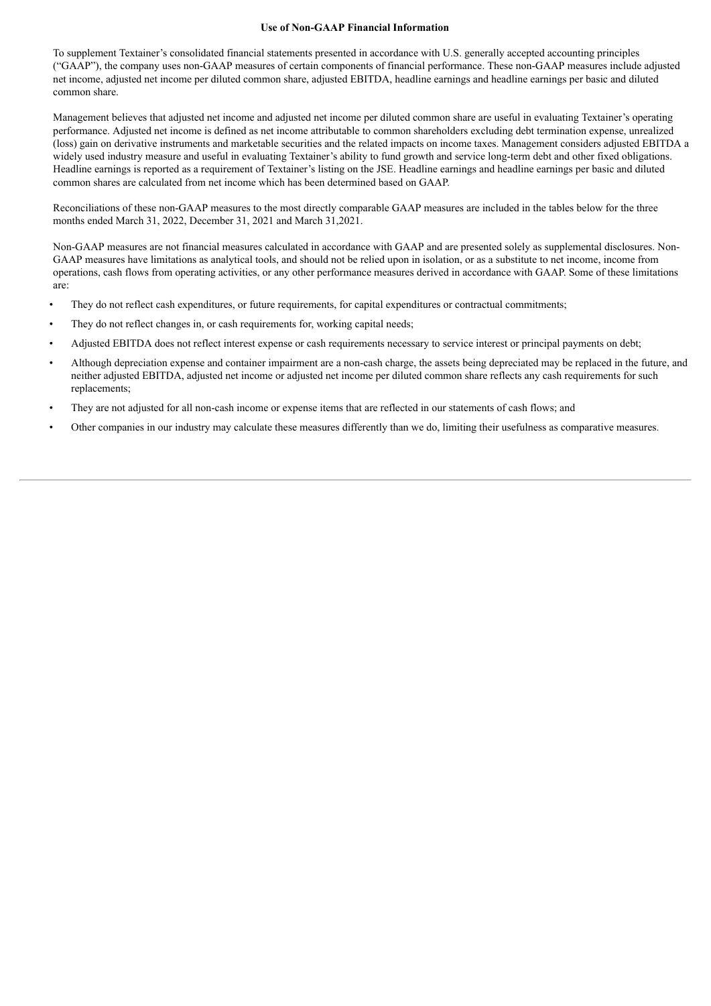#### **Use of Non-GAAP Financial Information**

To supplement Textainer's consolidated financial statements presented in accordance with U.S. generally accepted accounting principles ("GAAP"), the company uses non-GAAP measures of certain components of financial performance. These non-GAAP measures include adjusted net income, adjusted net income per diluted common share, adjusted EBITDA, headline earnings and headline earnings per basic and diluted common share.

Management believes that adjusted net income and adjusted net income per diluted common share are useful in evaluating Textainer's operating performance. Adjusted net income is defined as net income attributable to common shareholders excluding debt termination expense, unrealized (loss) gain on derivative instruments and marketable securities and the related impacts on income taxes. Management considers adjusted EBITDA a widely used industry measure and useful in evaluating Textainer's ability to fund growth and service long-term debt and other fixed obligations. Headline earnings is reported as a requirement of Textainer's listing on the JSE. Headline earnings and headline earnings per basic and diluted common shares are calculated from net income which has been determined based on GAAP.

Reconciliations of these non-GAAP measures to the most directly comparable GAAP measures are included in the tables below for the three months ended March 31, 2022, December 31, 2021 and March 31,2021.

Non-GAAP measures are not financial measures calculated in accordance with GAAP and are presented solely as supplemental disclosures. Non-GAAP measures have limitations as analytical tools, and should not be relied upon in isolation, or as a substitute to net income, income from operations, cash flows from operating activities, or any other performance measures derived in accordance with GAAP. Some of these limitations are:

- They do not reflect cash expenditures, or future requirements, for capital expenditures or contractual commitments;
- They do not reflect changes in, or cash requirements for, working capital needs;
- Adjusted EBITDA does not reflect interest expense or cash requirements necessary to service interest or principal payments on debt;
- Although depreciation expense and container impairment are a non-cash charge, the assets being depreciated may be replaced in the future, and neither adjusted EBITDA, adjusted net income or adjusted net income per diluted common share reflects any cash requirements for such replacements;
- They are not adjusted for all non-cash income or expense items that are reflected in our statements of cash flows; and
- Other companies in our industry may calculate these measures differently than we do, limiting their usefulness as comparative measures.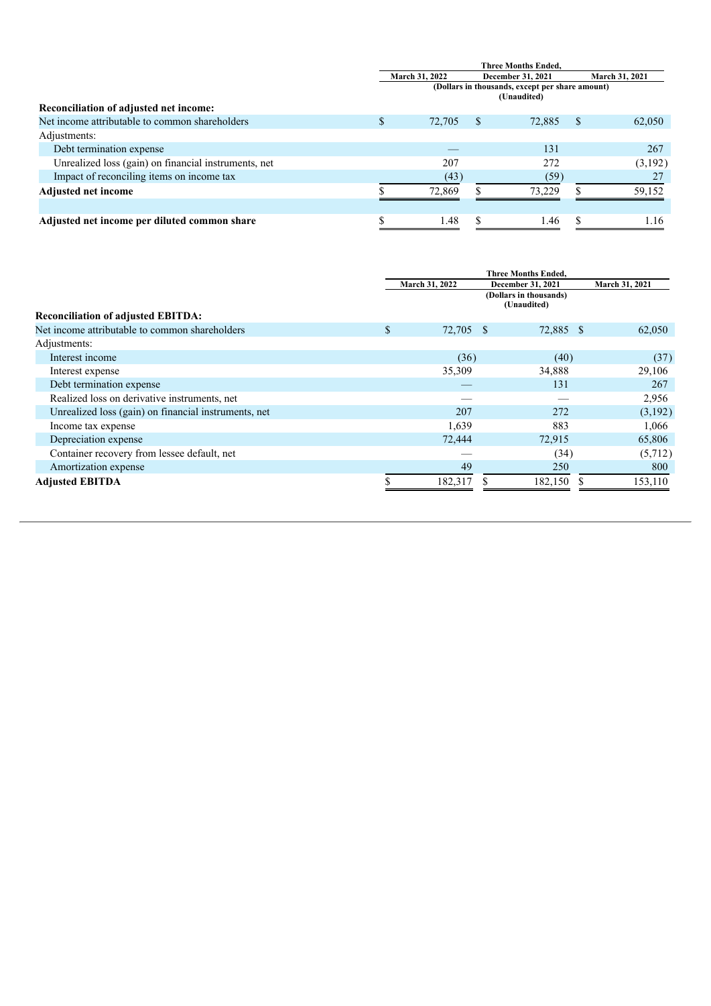|                                                      | <b>Three Months Ended.</b> |        |   |                                                                |                |         |  |
|------------------------------------------------------|----------------------------|--------|---|----------------------------------------------------------------|----------------|---------|--|
|                                                      | March 31, 2022             |        |   | December 31, 2021                                              | March 31, 2021 |         |  |
|                                                      |                            |        |   | (Dollars in thousands, except per share amount)<br>(Unaudited) |                |         |  |
| Reconciliation of adjusted net income:               |                            |        |   |                                                                |                |         |  |
| Net income attributable to common shareholders       | \$.                        | 72,705 | S | 72,885                                                         | <sup>S</sup>   | 62,050  |  |
| Adjustments:                                         |                            |        |   |                                                                |                |         |  |
| Debt termination expense                             |                            |        |   | 131                                                            |                | 267     |  |
| Unrealized loss (gain) on financial instruments, net |                            | 207    |   | 272                                                            |                | (3,192) |  |
| Impact of reconciling items on income tax            |                            | (43)   |   | (59)                                                           |                |         |  |
| <b>Adjusted net income</b>                           |                            | 72,869 |   | 73.229                                                         |                | 59,152  |  |
|                                                      |                            |        |   |                                                                |                |         |  |
| Adjusted net income per diluted common share         |                            | 1.48   |   | 1.46                                                           |                | 1.16    |  |

|                                                      | <b>Three Months Ended,</b> |  |                        |  |                |  |  |  |  |
|------------------------------------------------------|----------------------------|--|------------------------|--|----------------|--|--|--|--|
|                                                      | March 31, 2022             |  | December 31, 2021      |  | March 31, 2021 |  |  |  |  |
|                                                      |                            |  | (Dollars in thousands) |  |                |  |  |  |  |
|                                                      |                            |  | (Unaudited)            |  |                |  |  |  |  |
| <b>Reconciliation of adjusted EBITDA:</b>            |                            |  |                        |  |                |  |  |  |  |
| Net income attributable to common shareholders       | \$<br>72,705 \$            |  | 72,885 \$              |  | 62,050         |  |  |  |  |
| Adjustments:                                         |                            |  |                        |  |                |  |  |  |  |
| Interest income                                      | (36)                       |  | (40)                   |  | (37)           |  |  |  |  |
| Interest expense                                     | 35,309                     |  | 34,888                 |  | 29,106         |  |  |  |  |
| Debt termination expense                             |                            |  | 131                    |  | 267            |  |  |  |  |
| Realized loss on derivative instruments, net         |                            |  |                        |  | 2,956          |  |  |  |  |
| Unrealized loss (gain) on financial instruments, net | 207                        |  | 272                    |  | (3,192)        |  |  |  |  |
| Income tax expense                                   | 1,639                      |  | 883                    |  | 1,066          |  |  |  |  |
| Depreciation expense                                 | 72,444                     |  | 72,915                 |  | 65,806         |  |  |  |  |
| Container recovery from lessee default, net          |                            |  | (34)                   |  | (5,712)        |  |  |  |  |
| Amortization expense                                 | 49                         |  | 250                    |  | 800            |  |  |  |  |
| <b>Adjusted EBITDA</b>                               | 182,317                    |  | 182,150 \$             |  | 153,110        |  |  |  |  |
|                                                      |                            |  |                        |  |                |  |  |  |  |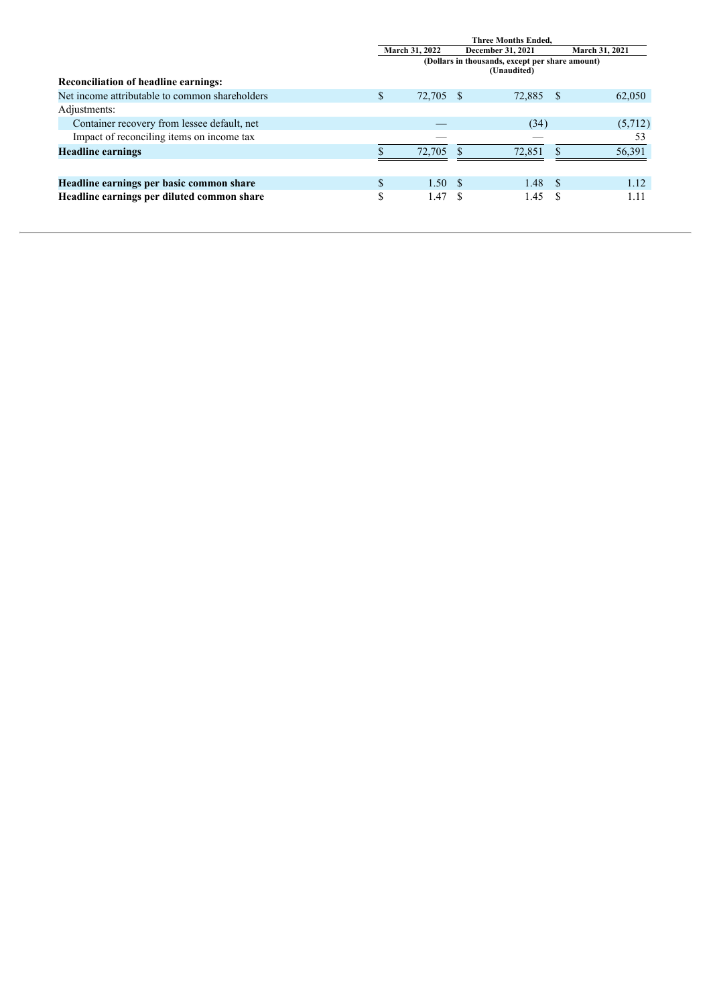|                                                | <b>Three Months Ended.</b>                                     |     |        |      |                       |  |  |
|------------------------------------------------|----------------------------------------------------------------|-----|--------|------|-----------------------|--|--|
|                                                | <b>March 31, 2022</b><br><b>December 31, 2021</b>              |     |        |      | <b>March 31, 2021</b> |  |  |
|                                                | (Dollars in thousands, except per share amount)<br>(Unaudited) |     |        |      |                       |  |  |
| <b>Reconciliation of headline earnings:</b>    |                                                                |     |        |      |                       |  |  |
| Net income attributable to common shareholders | \$<br>72,705                                                   | - S | 72,885 | -8   | 62,050                |  |  |
| Adjustments:                                   |                                                                |     |        |      |                       |  |  |
| Container recovery from lessee default, net    |                                                                |     | (34)   |      | (5,712)               |  |  |
| Impact of reconciling items on income tax      |                                                                |     |        |      | 53                    |  |  |
| <b>Headline earnings</b>                       | 72.705                                                         |     | 72.851 |      | 56,391                |  |  |
|                                                |                                                                |     |        |      |                       |  |  |
| Headline earnings per basic common share       | \$<br>1.50S                                                    |     | 1.48   | - \$ | 1.12                  |  |  |
| Headline earnings per diluted common share     | \$<br>1.47                                                     |     | 1.45   |      |                       |  |  |
|                                                |                                                                |     |        |      |                       |  |  |